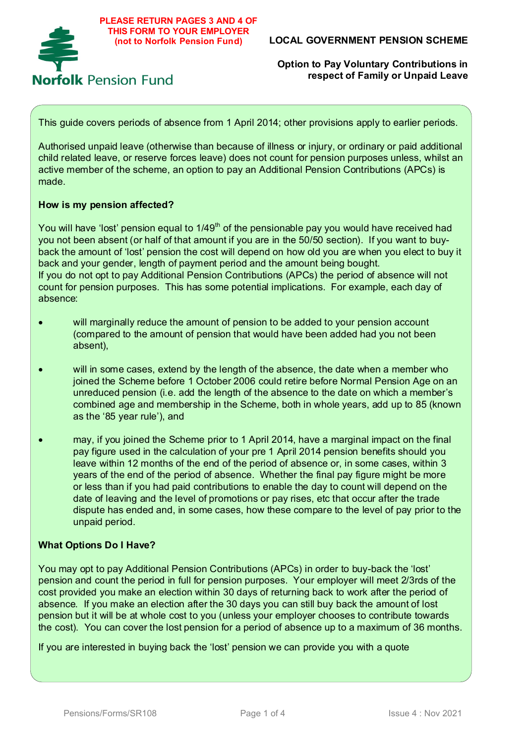

This guide covers periods of absence from 1 April 2014; other provisions apply to earlier periods.

Authorised unpaid leave (otherwise than because of illness or injury, or ordinary or paid additional child related leave, or reserve forces leave) does not count for pension purposes unless, whilst an active member of the scheme, an option to pay an Additional Pension Contributions (APCs) is made.

### **How is my pension affected?**

You will have 'lost' pension equal to  $1/49<sup>th</sup>$  of the pensionable pay you would have received had you not been absent (or half of that amount if you are in the 50/50 section). If you want to buyback the amount of 'lost' pension the cost will depend on how old you are when you elect to buy it back and your gender, length of payment period and the amount being bought. If you do not opt to pay Additional Pension Contributions (APCs) the period of absence will not count for pension purposes. This has some potential implications. For example, each day of absence:

- will marginally reduce the amount of pension to be added to your pension account (compared to the amount of pension that would have been added had you not been absent),
- will in some cases, extend by the length of the absence, the date when a member who joined the Scheme before 1 October 2006 could retire before Normal Pension Age on an unreduced pension (i.e. add the length of the absence to the date on which a member's combined age and membership in the Scheme, both in whole years, add up to 85 (known as the '85 year rule'), and
- may, if you joined the Scheme prior to 1 April 2014, have a marginal impact on the final pay figure used in the calculation of your pre 1 April 2014 pension benefits should you leave within 12 months of the end of the period of absence or, in some cases, within 3 years of the end of the period of absence. Whether the final pay figure might be more or less than if you had paid contributions to enable the day to count will depend on the date of leaving and the level of promotions or pay rises, etc that occur after the trade dispute has ended and, in some cases, how these compare to the level of pay prior to the unpaid period.

### **What Options Do I Have?**

You may opt to pay Additional Pension Contributions (APCs) in order to buy-back the 'lost' pension and count the period in full for pension purposes. Your employer will meet 2/3rds of the cost provided you make an election within 30 days of returning back to work after the period of absence. If you make an election after the 30 days you can still buy back the amount of lost pension but it will be at whole cost to you (unless your employer chooses to contribute towards the cost). You can cover the lost pension for a period of absence up to a maximum of 36 months.

If you are interested in buying back the 'lost' pension we can provide you with a quote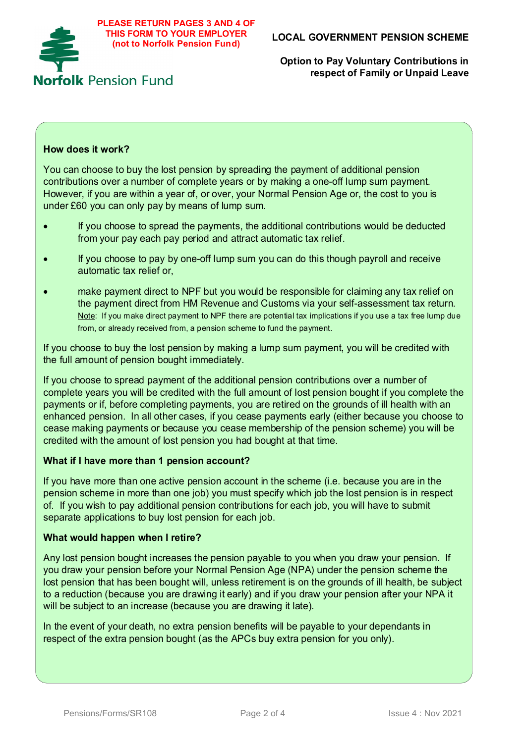

### **How does it work?**

You can choose to buy the lost pension by spreading the payment of additional pension contributions over a number of complete years or by making a one-off lump sum payment. However, if you are within a year of, or over, your Normal Pension Age or, the cost to you is under £60 you can only pay by means of lump sum.

- If you choose to spread the payments, the additional contributions would be deducted from your pay each pay period and attract automatic tax relief.
- If you choose to pay by one-off lump sum you can do this though payroll and receive automatic tax relief or,
- make payment direct to NPF but you would be responsible for claiming any tax relief on the payment direct from HM Revenue and Customs via your self-assessment tax return. Note: If you make direct payment to NPF there are potential tax implications if you use a tax free lump due from, or already received from, a pension scheme to fund the payment.

If you choose to buy the lost pension by making a lump sum payment, you will be credited with the full amount of pension bought immediately.

If you choose to spread payment of the additional pension contributions over a number of complete years you will be credited with the full amount of lost pension bought if you complete the payments or if, before completing payments, you are retired on the grounds of ill health with an enhanced pension. In all other cases, if you cease payments early (either because you choose to cease making payments or because you cease membership of the pension scheme) you will be credited with the amount of lost pension you had bought at that time.

#### **What if I have more than 1 pension account?**

If you have more than one active pension account in the scheme (i.e. because you are in the pension scheme in more than one job) you must specify which job the lost pension is in respect of. If you wish to pay additional pension contributions for each job, you will have to submit separate applications to buy lost pension for each job.

#### **What would happen when I retire?**

Any lost pension bought increases the pension payable to you when you draw your pension. If you draw your pension before your Normal Pension Age (NPA) under the pension scheme the lost pension that has been bought will, unless retirement is on the grounds of ill health, be subject to a reduction (because you are drawing it early) and if you draw your pension after your NPA it will be subject to an increase (because you are drawing it late).

In the event of your death, no extra pension benefits will be payable to your dependants in respect of the extra pension bought (as the APCs buy extra pension for you only).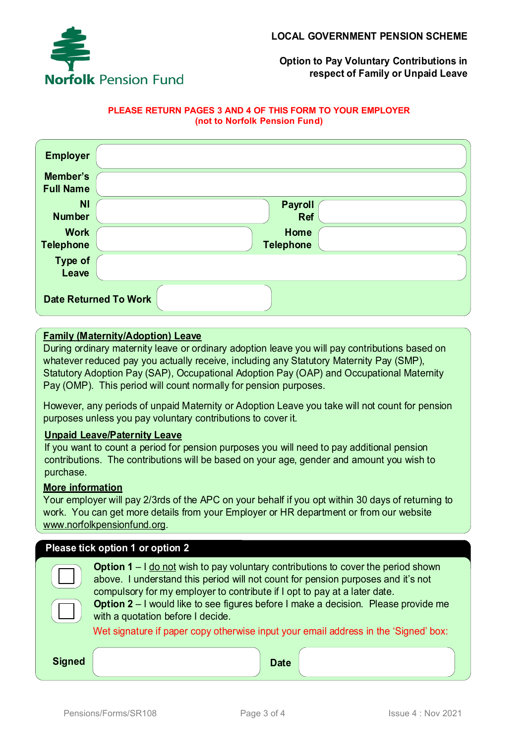

### **PLEASE RETURN PAGES 3 AND 4 OF THIS FORM TO YOUR EMPLOYER (not to Norfolk Pension Fund)**

| <b>Employer</b>                 |                                 |  |  |  |
|---------------------------------|---------------------------------|--|--|--|
| Member's<br><b>Full Name</b>    |                                 |  |  |  |
| <b>NI</b><br><b>Number</b>      | <b>Payroll</b><br><b>Ref</b>    |  |  |  |
| <b>Work</b><br><b>Telephone</b> | <b>Home</b><br><b>Telephone</b> |  |  |  |
| Type of<br>Leave                |                                 |  |  |  |
| <b>Date Returned To Work</b>    |                                 |  |  |  |

# **Family (Maternity/Adoption) Leave**

During ordinary maternity leave or ordinary adoption leave you will pay contributions based on whatever reduced pay you actually receive, including any Statutory Maternity Pay (SMP), Statutory Adoption Pay (SAP), Occupational Adoption Pay (OAP) and Occupational Maternity Pay (OMP). This period will count normally for pension purposes.

However, any periods of unpaid Maternity or Adoption Leave you take will not count for pension purposes unless you pay voluntary contributions to cover it.

### **Unpaid Leave/Paternity Leave**

If you want to count a period for pension purposes you will need to pay additional pension contributions. The contributions will be based on your age, gender and amount you wish to purchase.

### **More information**

Your employer will pay 2/3rds of the APC on your behalf if you opt within 30 days of returning to work. You can get more details from your Employer or HR department or from our website www.norfolkpensionfund.org.

| Please tick option 1 or option 2 |                                                                                                                                                                                                                                                                                                                                                                                               |  |  |  |  |
|----------------------------------|-----------------------------------------------------------------------------------------------------------------------------------------------------------------------------------------------------------------------------------------------------------------------------------------------------------------------------------------------------------------------------------------------|--|--|--|--|
|                                  | <b>Option 1</b> $-$ I do not wish to pay voluntary contributions to cover the period shown<br>above. I understand this period will not count for pension purposes and it's not<br>compulsory for my employer to contribute if I opt to pay at a later date.<br><b>Option 2</b> – I would like to see figures before I make a decision. Please provide me<br>with a quotation before I decide. |  |  |  |  |
|                                  | Wet signature if paper copy otherwise input your email address in the 'Signed' box:                                                                                                                                                                                                                                                                                                           |  |  |  |  |
| <b>Signed</b>                    | <b>Date</b>                                                                                                                                                                                                                                                                                                                                                                                   |  |  |  |  |